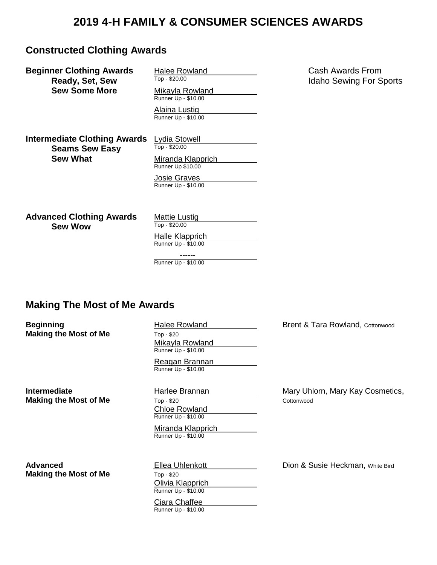# **2019 4-H FAMILY & CONSUMER SCIENCES AWARDS**

## **Constructed Clothing Awards**

**Beginner Clothing Awards** Halee Rowland **Cash Awards From Ready Set Sew** Top-\$20.00 **Sew Some More** Mikayla Rowland

**Ready, Set, Sew** Top - \$20.00 Top - \$20.00 Idaho Sewing For Sports Runner Up - \$10.00

> Alaina Lustig Runner Up - \$10.00

**Intermediate Clothing Awards** Lydia Stowell<br>Seams Sew Fasy<br>Top - \$20.00 **Seams Sew Easy Sew What Miranda Klapprich** 

Runner Up \$10.00

Josie Graves Runner Up - \$10.00

**Advanced Clothing Awards** Mattie Lustig<br> **Saw Wow Sew Wow** 

Halle Klapprich

Runner Up - \$10.00 ------

Runner Up - \$10.00

## **Making The Most of Me Awards**

**Beginning** The Rowland Brent & Tara Rowland, Cottonwood Brent & Tara Rowland, Cottonwood **Making the Most of Me** Top - \$20 Mikayla Rowland Runner Up - \$10.00 Reagan Brannan Runner Up - \$10.00 **Intermediate Harlee Brannan** Mary Uhlorn, Mary Kay Cosmetics, **Making the Most of Me** Top - \$20 Cottonwood Chloe Rowland Runner Up - \$10.00 Miranda Klapprich Runner Up - \$10.00 **Advanced Ellea Uhlenkott** Dion & Susie Heckman, White Bird **Contains Advanced Making the Most of Me** Top - \$20 Olivia Klapprich Runner Up - \$10.00 Ciara Chaffee Runner Up - \$10.00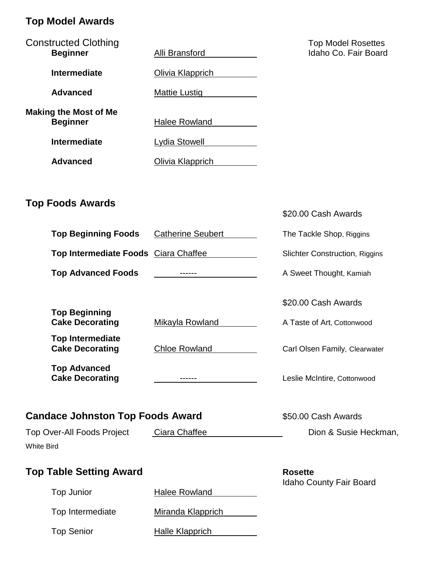# **Top Model Awards**

| <b>Constructed Clothing</b><br><b>Beginner</b>         | Alli Bransford           | <b>Top Model Rosettes</b><br>Idaho Co. Fair Board |
|--------------------------------------------------------|--------------------------|---------------------------------------------------|
| <b>Intermediate</b>                                    | <b>Olivia Klapprich</b>  |                                                   |
| <b>Advanced</b>                                        | <b>Mattie Lustig</b>     |                                                   |
| <b>Making the Most of Me</b><br><b>Beginner</b>        | <b>Halee Rowland</b>     |                                                   |
| <b>Intermediate</b>                                    | Lydia Stowell            |                                                   |
| <b>Advanced</b>                                        | Olivia Klapprich         |                                                   |
|                                                        |                          |                                                   |
| <b>Top Foods Awards</b>                                |                          | \$20.00 Cash Awards                               |
| <b>Top Beginning Foods</b>                             | <b>Catherine Seubert</b> | The Tackle Shop, Riggins                          |
| Top Intermediate Foods Ciara Chaffee                   |                          | <b>Slichter Construction, Riggins</b>             |
| <b>Top Advanced Foods</b>                              |                          | A Sweet Thought, Kamiah                           |
| <b>Top Beginning</b>                                   |                          | \$20.00 Cash Awards                               |
| <b>Cake Decorating</b>                                 | Mikayla Rowland          | A Taste of Art, Cottonwood                        |
| <b>Top Intermediate</b><br><b>Cake Decorating</b>      | <b>Chloe Rowland</b>     | Carl Olsen Family, Clearwater                     |
| <b>Top Advanced</b><br><b>Cake Decorating</b>          |                          | Leslie McIntire, Cottonwood                       |
| <b>Candace Johnston Top Foods Award</b>                |                          | \$50.00 Cash Awards                               |
| <b>Top Over-All Foods Project</b><br><b>White Bird</b> | Ciara Chaffee            | Dion & Susie Heckman,                             |
| <b>Top Table Setting Award</b>                         |                          | <b>Rosette</b><br><b>Idaho County Fair Board</b>  |
| <b>Top Junior</b>                                      | <b>Halee Rowland</b>     |                                                   |
| Top Intermediate                                       | <b>Miranda Klapprich</b> |                                                   |
| <b>Top Senior</b>                                      | <b>Halle Klapprich</b>   |                                                   |